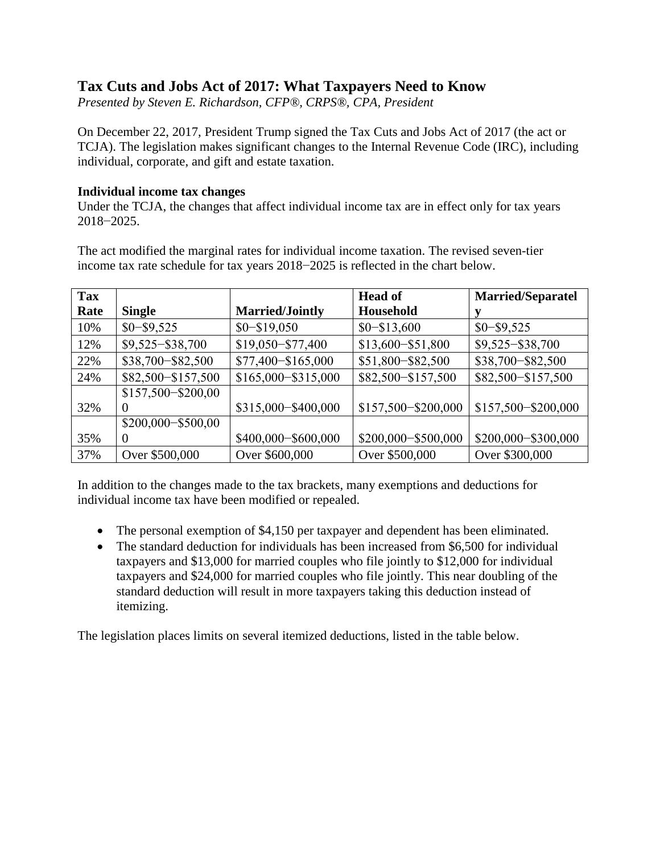# **Tax Cuts and Jobs Act of 2017: What Taxpayers Need to Know**

*Presented by Steven E. Richardson, CFP®, CRPS®, CPA, President*

On December 22, 2017, President Trump signed the Tax Cuts and Jobs Act of 2017 (the act or TCJA). The legislation makes significant changes to the Internal Revenue Code (IRC), including individual, corporate, and gift and estate taxation.

## **Individual income tax changes**

Under the TCJA, the changes that affect individual income tax are in effect only for tax years 2018−2025.

The act modified the marginal rates for individual income taxation. The revised seven-tier income tax rate schedule for tax years 2018−2025 is reflected in the chart below.

| <b>Tax</b> |                      |                        | <b>Head of</b>        | <b>Married/Separatel</b> |
|------------|----------------------|------------------------|-----------------------|--------------------------|
| Rate       | <b>Single</b>        | <b>Married/Jointly</b> | Household             |                          |
| 10%        | $$0 - $9,525$        | $$0 - $19,050$         | $$0 - $13,600$        | $$0 - $9,525$            |
| 12%        | $$9,525 - $38,700$   | $$19,050 - $77,400$    | \$13,600-\$51,800     | $$9,525 - $38,700$       |
| 22%        | \$38,700-\$82,500    | \$77,400-\$165,000     | \$51,800-\$82,500     | \$38,700-\$82,500        |
| 24%        | \$82,500-\$157,500   | $$165,000 - $315,000$  | \$82,500-\$157,500    | \$82,500-\$157,500       |
|            | \$157,500-\$200,00   |                        |                       |                          |
| 32%        |                      | \$315,000-\$400,000    | \$157,500-\$200,000   | \$157,500-\$200,000      |
|            | \$200,000 - \$500,00 |                        |                       |                          |
| 35%        |                      | \$400,000 - \$600,000  | \$200,000 - \$500,000 | \$200,000 - \$300,000    |
| 37%        | Over \$500,000       | Over \$600,000         | Over \$500,000        | Over \$300,000           |

In addition to the changes made to the tax brackets, many exemptions and deductions for individual income tax have been modified or repealed.

- The personal exemption of \$4,150 per taxpayer and dependent has been eliminated.
- The standard deduction for individuals has been increased from \$6,500 for individual taxpayers and \$13,000 for married couples who file jointly to \$12,000 for individual taxpayers and \$24,000 for married couples who file jointly. This near doubling of the standard deduction will result in more taxpayers taking this deduction instead of itemizing.

The legislation places limits on several itemized deductions, listed in the table below.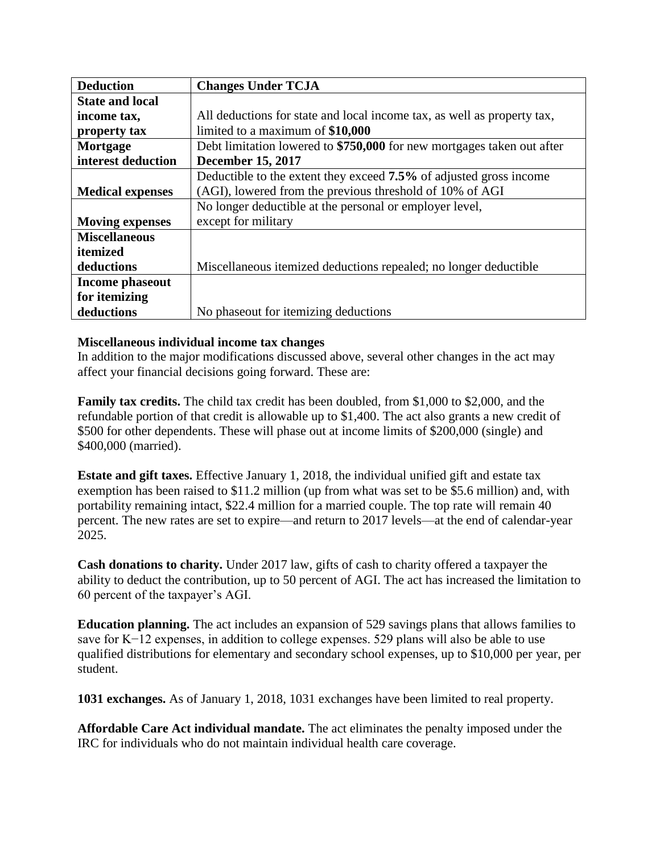| <b>Deduction</b>        | <b>Changes Under TCJA</b>                                               |  |  |  |
|-------------------------|-------------------------------------------------------------------------|--|--|--|
| <b>State and local</b>  |                                                                         |  |  |  |
| income tax,             | All deductions for state and local income tax, as well as property tax, |  |  |  |
| property tax            | limited to a maximum of \$10,000                                        |  |  |  |
| Mortgage                | Debt limitation lowered to \$750,000 for new mortgages taken out after  |  |  |  |
| interest deduction      | <b>December 15, 2017</b>                                                |  |  |  |
|                         | Deductible to the extent they exceed 7.5% of adjusted gross income      |  |  |  |
| <b>Medical expenses</b> | (AGI), lowered from the previous threshold of 10% of AGI                |  |  |  |
|                         | No longer deductible at the personal or employer level,                 |  |  |  |
| <b>Moving expenses</b>  | except for military                                                     |  |  |  |
| <b>Miscellaneous</b>    |                                                                         |  |  |  |
| itemized                |                                                                         |  |  |  |
| deductions              | Miscellaneous itemized deductions repealed; no longer deductible        |  |  |  |
| Income phaseout         |                                                                         |  |  |  |
| for itemizing           |                                                                         |  |  |  |
| deductions              | No phaseout for itemizing deductions                                    |  |  |  |

#### **Miscellaneous individual income tax changes**

In addition to the major modifications discussed above, several other changes in the act may affect your financial decisions going forward. These are:

**Family tax credits.** The child tax credit has been doubled, from \$1,000 to \$2,000, and the refundable portion of that credit is allowable up to \$1,400. The act also grants a new credit of \$500 for other dependents. These will phase out at income limits of \$200,000 (single) and \$400,000 (married).

**Estate and gift taxes.** Effective January 1, 2018, the individual unified gift and estate tax exemption has been raised to \$11.2 million (up from what was set to be \$5.6 million) and, with portability remaining intact, \$22.4 million for a married couple. The top rate will remain 40 percent. The new rates are set to expire—and return to 2017 levels—at the end of calendar-year 2025.

**Cash donations to charity.** Under 2017 law, gifts of cash to charity offered a taxpayer the ability to deduct the contribution, up to 50 percent of AGI. The act has increased the limitation to 60 percent of the taxpayer's AGI.

**Education planning.** The act includes an expansion of 529 savings plans that allows families to save for K−12 expenses, in addition to college expenses. 529 plans will also be able to use qualified distributions for elementary and secondary school expenses, up to \$10,000 per year, per student.

**1031 exchanges.** As of January 1, 2018, 1031 exchanges have been limited to real property.

**Affordable Care Act individual mandate.** The act eliminates the penalty imposed under the IRC for individuals who do not maintain individual health care coverage.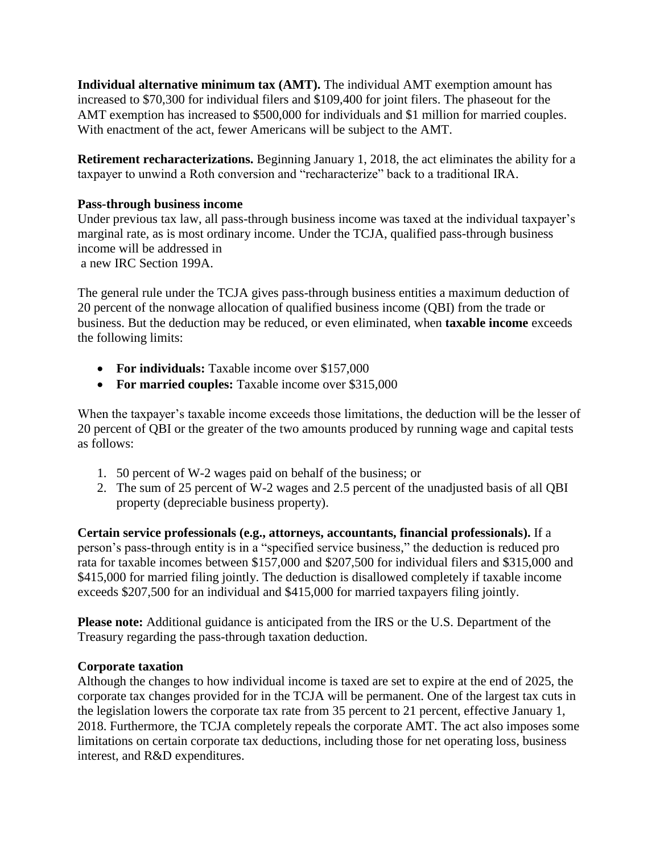**Individual alternative minimum tax (AMT).** The individual AMT exemption amount has increased to \$70,300 for individual filers and \$109,400 for joint filers. The phaseout for the AMT exemption has increased to \$500,000 for individuals and \$1 million for married couples. With enactment of the act, fewer Americans will be subject to the AMT.

**Retirement recharacterizations.** Beginning January 1, 2018, the act eliminates the ability for a taxpayer to unwind a Roth conversion and "recharacterize" back to a traditional IRA.

### **Pass-through business income**

Under previous tax law, all pass-through business income was taxed at the individual taxpayer's marginal rate, as is most ordinary income. Under the TCJA, qualified pass-through business income will be addressed in a new IRC Section 199A.

The general rule under the TCJA gives pass-through business entities a maximum deduction of 20 percent of the nonwage allocation of qualified business income (QBI) from the trade or business. But the deduction may be reduced, or even eliminated, when **taxable income** exceeds the following limits:

- **For individuals:** Taxable income over \$157,000
- **For married couples:** Taxable income over \$315,000

When the taxpayer's taxable income exceeds those limitations, the deduction will be the lesser of 20 percent of QBI or the greater of the two amounts produced by running wage and capital tests as follows:

- 1. 50 percent of W-2 wages paid on behalf of the business; or
- 2. The sum of 25 percent of W-2 wages and 2.5 percent of the unadjusted basis of all QBI property (depreciable business property).

**Certain service professionals (e.g., attorneys, accountants, financial professionals).** If a person's pass-through entity is in a "specified service business," the deduction is reduced pro rata for taxable incomes between \$157,000 and \$207,500 for individual filers and \$315,000 and \$415,000 for married filing jointly. The deduction is disallowed completely if taxable income exceeds \$207,500 for an individual and \$415,000 for married taxpayers filing jointly.

**Please note:** Additional guidance is anticipated from the IRS or the U.S. Department of the Treasury regarding the pass-through taxation deduction.

#### **Corporate taxation**

Although the changes to how individual income is taxed are set to expire at the end of 2025, the corporate tax changes provided for in the TCJA will be permanent. One of the largest tax cuts in the legislation lowers the corporate tax rate from 35 percent to 21 percent, effective January 1, 2018. Furthermore, the TCJA completely repeals the corporate AMT. The act also imposes some limitations on certain corporate tax deductions, including those for net operating loss, business interest, and R&D expenditures.